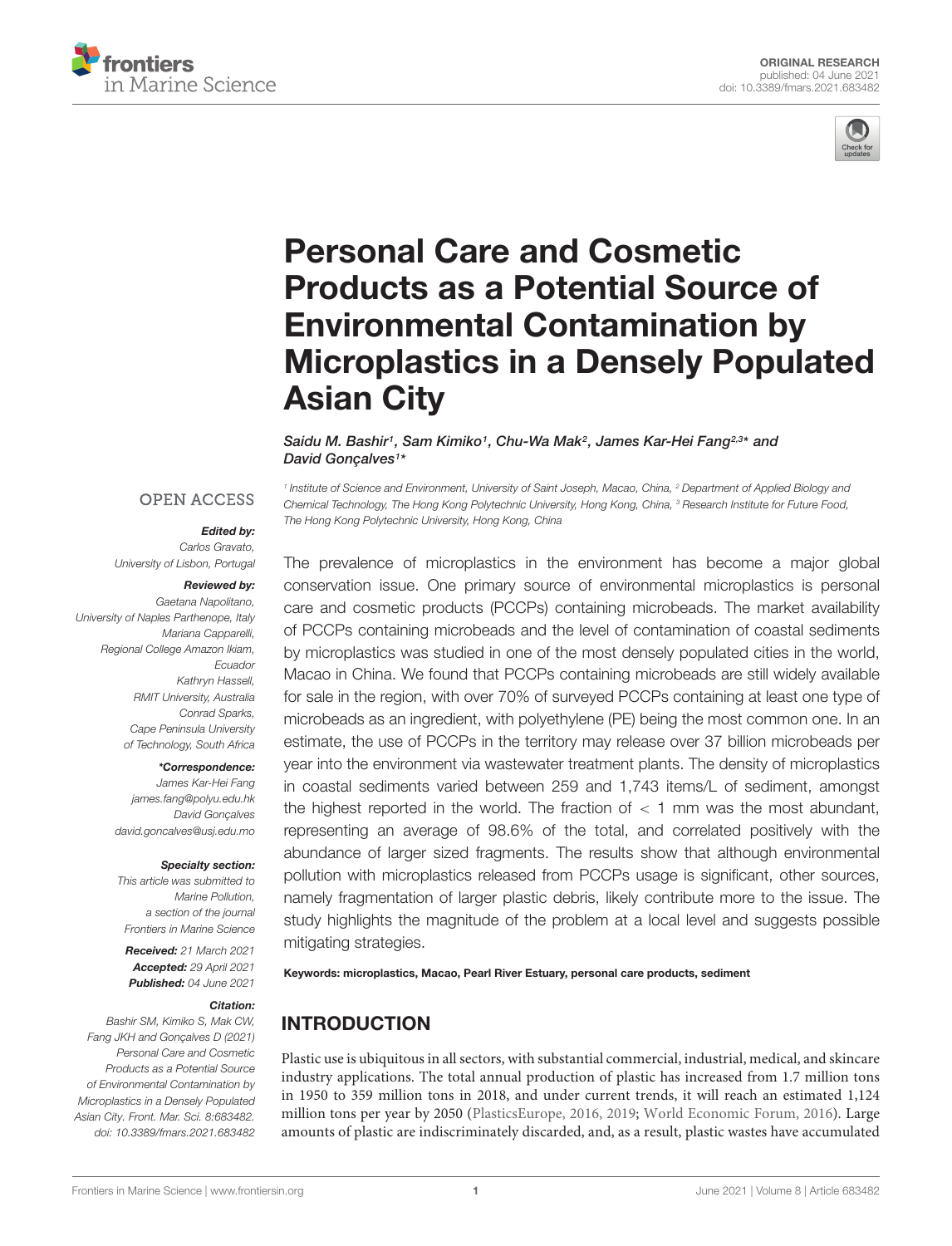



# Personal Care and Cosmetic Products as a Potential Source of Environmental Contamination by [Microplastics in a Densely Populated](https://www.frontiersin.org/articles/10.3389/fmars.2021.683482/full) Asian City

Saidu M. Bashir<sup>1</sup>, Sam Kimiko1, Chu-Wa Mak<sup>2</sup>, James Kar-Hei Fang<sup>2,3\*</sup> and David Gonçalves<sup>1\*</sup>

#### **OPEN ACCESS**

#### Edited by:

Carlos Gravato, University of Lisbon, Portugal

#### Reviewed by:

Gaetana Napolitano, University of Naples Parthenope, Italy Mariana Capparelli, Regional College Amazon Ikiam, Ecuador Kathryn Hassell, RMIT University, Australia Conrad Sparks, Cape Peninsula University of Technology, South Africa

#### \*Correspondence:

James Kar-Hei Fang james.fang@polyu.edu.hk David Gonçalves david.goncalves@usj.edu.mo

#### Specialty section:

This article was submitted to Marine Pollution, a section of the journal Frontiers in Marine Science

Received: 21 March 2021 Accepted: 29 April 2021 Published: 04 June 2021

#### Citation:

Bashir SM, Kimiko S, Mak CW, Fang JKH and Gonçalves D (2021) Personal Care and Cosmetic Products as a Potential Source of Environmental Contamination by Microplastics in a Densely Populated Asian City. Front. Mar. Sci. 8:683482. doi: [10.3389/fmars.2021.683482](https://doi.org/10.3389/fmars.2021.683482)

<sup>1</sup> Institute of Science and Environment, University of Saint Joseph, Macao, China, <sup>2</sup> Department of Applied Biology and Chemical Technology, The Hong Kong Polytechnic University, Hong Kong, China, <sup>3</sup> Research Institute for Future Food, The Hong Kong Polytechnic University, Hong Kong, China

The prevalence of microplastics in the environment has become a major global conservation issue. One primary source of environmental microplastics is personal care and cosmetic products (PCCPs) containing microbeads. The market availability of PCCPs containing microbeads and the level of contamination of coastal sediments by microplastics was studied in one of the most densely populated cities in the world, Macao in China. We found that PCCPs containing microbeads are still widely available for sale in the region, with over 70% of surveyed PCCPs containing at least one type of microbeads as an ingredient, with polyethylene (PE) being the most common one. In an estimate, the use of PCCPs in the territory may release over 37 billion microbeads per year into the environment via wastewater treatment plants. The density of microplastics in coastal sediments varied between 259 and 1,743 items/L of sediment, amongst the highest reported in the world. The fraction of  $<$  1 mm was the most abundant, representing an average of 98.6% of the total, and correlated positively with the abundance of larger sized fragments. The results show that although environmental pollution with microplastics released from PCCPs usage is significant, other sources, namely fragmentation of larger plastic debris, likely contribute more to the issue. The study highlights the magnitude of the problem at a local level and suggests possible mitigating strategies.

Keywords: microplastics, Macao, Pearl River Estuary, personal care products, sediment

# INTRODUCTION

Plastic use is ubiquitous in all sectors, with substantial commercial, industrial, medical, and skincare industry applications. The total annual production of plastic has increased from 1.7 million tons in 1950 to 359 million tons in 2018, and under current trends, it will reach an estimated 1,124 million tons per year by 2050 [\(PlasticsEurope,](#page-10-0) [2016,](#page-10-0) [2019;](#page-10-1) [World Economic Forum,](#page-10-2) [2016\)](#page-10-2). Large amounts of plastic are indiscriminately discarded, and, as a result, plastic wastes have accumulated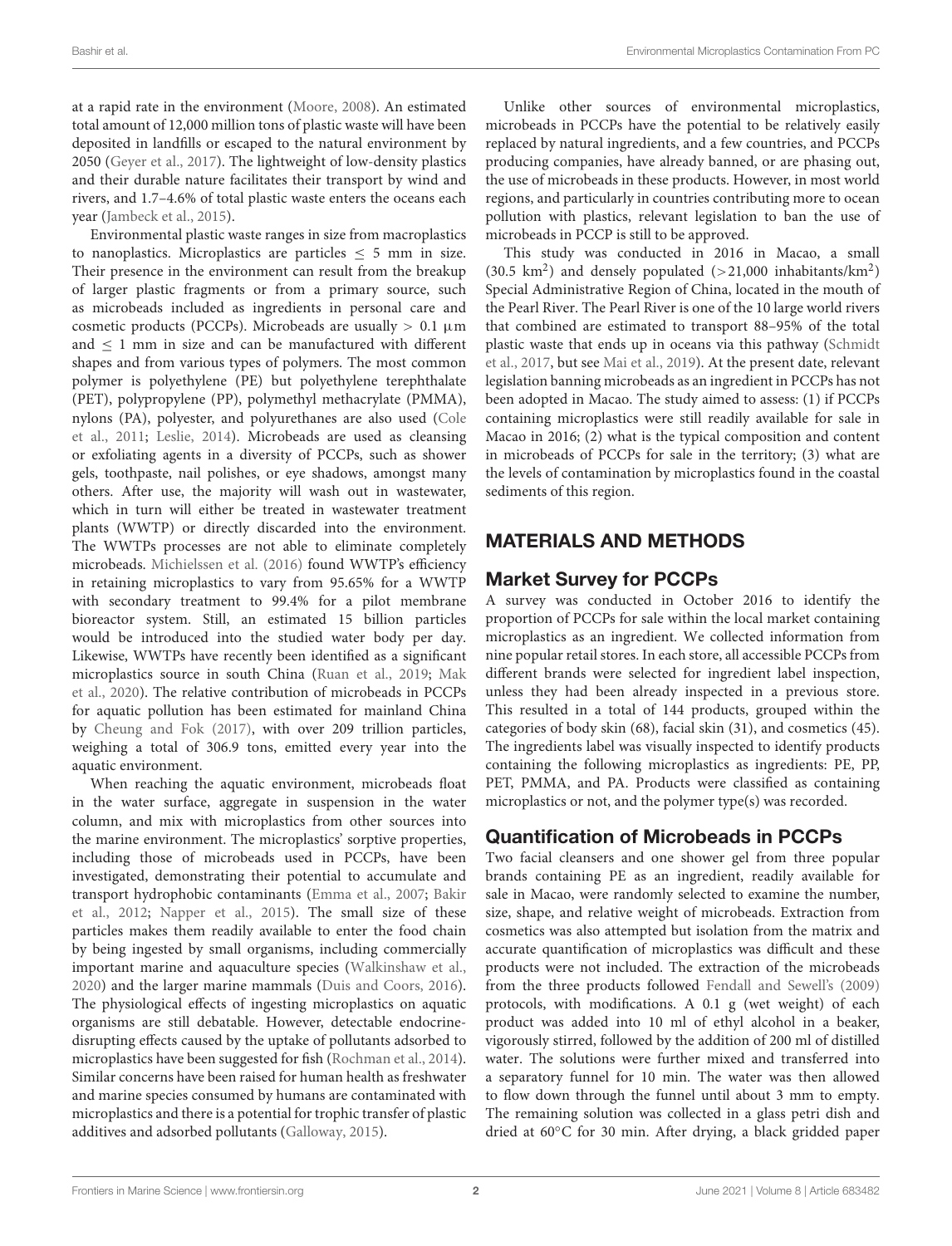at a rapid rate in the environment [\(Moore,](#page-9-0) [2008\)](#page-9-0). An estimated total amount of 12,000 million tons of plastic waste will have been deposited in landfills or escaped to the natural environment by 2050 [\(Geyer et al.,](#page-9-1) [2017\)](#page-9-1). The lightweight of low-density plastics and their durable nature facilitates their transport by wind and rivers, and 1.7–4.6% of total plastic waste enters the oceans each year [\(Jambeck et al.,](#page-9-2) [2015\)](#page-9-2).

Environmental plastic waste ranges in size from macroplastics to nanoplastics. Microplastics are particles ≤ 5 mm in size. Their presence in the environment can result from the breakup of larger plastic fragments or from a primary source, such as microbeads included as ingredients in personal care and cosmetic products (PCCPs). Microbeads are usually  $> 0.1 \mu m$ and ≤ 1 mm in size and can be manufactured with different shapes and from various types of polymers. The most common polymer is polyethylene (PE) but polyethylene terephthalate (PET), polypropylene (PP), polymethyl methacrylate (PMMA), nylons (PA), polyester, and polyurethanes are also used [\(Cole](#page-9-3) [et al.,](#page-9-3) [2011;](#page-9-3) [Leslie,](#page-9-4) [2014\)](#page-9-4). Microbeads are used as cleansing or exfoliating agents in a diversity of PCCPs, such as shower gels, toothpaste, nail polishes, or eye shadows, amongst many others. After use, the majority will wash out in wastewater, which in turn will either be treated in wastewater treatment plants (WWTP) or directly discarded into the environment. The WWTPs processes are not able to eliminate completely microbeads. [Michielssen et al.](#page-9-5) [\(2016\)](#page-9-5) found WWTP's efficiency in retaining microplastics to vary from 95.65% for a WWTP with secondary treatment to 99.4% for a pilot membrane bioreactor system. Still, an estimated 15 billion particles would be introduced into the studied water body per day. Likewise, WWTPs have recently been identified as a significant microplastics source in south China [\(Ruan et al.,](#page-10-3) [2019;](#page-10-3) [Mak](#page-9-6) [et al.,](#page-9-6) [2020\)](#page-9-6). The relative contribution of microbeads in PCCPs for aquatic pollution has been estimated for mainland China by [Cheung and Fok](#page-9-7) [\(2017\)](#page-9-7), with over 209 trillion particles, weighing a total of 306.9 tons, emitted every year into the aquatic environment.

When reaching the aquatic environment, microbeads float in the water surface, aggregate in suspension in the water column, and mix with microplastics from other sources into the marine environment. The microplastics' sorptive properties, including those of microbeads used in PCCPs, have been investigated, demonstrating their potential to accumulate and transport hydrophobic contaminants [\(Emma et al.,](#page-9-8) [2007;](#page-9-8) [Bakir](#page-9-9) [et al.,](#page-9-9) [2012;](#page-9-9) [Napper et al.,](#page-10-4) [2015\)](#page-10-4). The small size of these particles makes them readily available to enter the food chain by being ingested by small organisms, including commercially important marine and aquaculture species [\(Walkinshaw et al.,](#page-10-5) [2020\)](#page-10-5) and the larger marine mammals [\(Duis and Coors,](#page-9-10) [2016\)](#page-9-10). The physiological effects of ingesting microplastics on aquatic organisms are still debatable. However, detectable endocrinedisrupting effects caused by the uptake of pollutants adsorbed to microplastics have been suggested for fish [\(Rochman et al.,](#page-10-6) [2014\)](#page-10-6). Similar concerns have been raised for human health as freshwater and marine species consumed by humans are contaminated with microplastics and there is a potential for trophic transfer of plastic additives and adsorbed pollutants [\(Galloway,](#page-9-11) [2015\)](#page-9-11).

Unlike other sources of environmental microplastics, microbeads in PCCPs have the potential to be relatively easily replaced by natural ingredients, and a few countries, and PCCPs producing companies, have already banned, or are phasing out, the use of microbeads in these products. However, in most world regions, and particularly in countries contributing more to ocean pollution with plastics, relevant legislation to ban the use of microbeads in PCCP is still to be approved.

This study was conducted in 2016 in Macao, a small (30.5  $\rm km^2$ ) and densely populated (>21,000 inhabitants/ $\rm km^2$ ) Special Administrative Region of China, located in the mouth of the Pearl River. The Pearl River is one of the 10 large world rivers that combined are estimated to transport 88–95% of the total plastic waste that ends up in oceans via this pathway [\(Schmidt](#page-10-7) [et al.,](#page-10-7) [2017,](#page-10-7) but see [Mai et al.,](#page-9-12) [2019\)](#page-9-12). At the present date, relevant legislation banning microbeads as an ingredient in PCCPs has not been adopted in Macao. The study aimed to assess: (1) if PCCPs containing microplastics were still readily available for sale in Macao in 2016; (2) what is the typical composition and content in microbeads of PCCPs for sale in the territory; (3) what are the levels of contamination by microplastics found in the coastal sediments of this region.

# MATERIALS AND METHODS

# Market Survey for PCCPs

A survey was conducted in October 2016 to identify the proportion of PCCPs for sale within the local market containing microplastics as an ingredient. We collected information from nine popular retail stores. In each store, all accessible PCCPs from different brands were selected for ingredient label inspection, unless they had been already inspected in a previous store. This resulted in a total of 144 products, grouped within the categories of body skin (68), facial skin (31), and cosmetics (45). The ingredients label was visually inspected to identify products containing the following microplastics as ingredients: PE, PP, PET, PMMA, and PA. Products were classified as containing microplastics or not, and the polymer type(s) was recorded.

# Quantification of Microbeads in PCCPs

Two facial cleansers and one shower gel from three popular brands containing PE as an ingredient, readily available for sale in Macao, were randomly selected to examine the number, size, shape, and relative weight of microbeads. Extraction from cosmetics was also attempted but isolation from the matrix and accurate quantification of microplastics was difficult and these products were not included. The extraction of the microbeads from the three products followed [Fendall and Sewell's](#page-9-13) [\(2009\)](#page-9-13) protocols, with modifications. A 0.1 g (wet weight) of each product was added into 10 ml of ethyl alcohol in a beaker, vigorously stirred, followed by the addition of 200 ml of distilled water. The solutions were further mixed and transferred into a separatory funnel for 10 min. The water was then allowed to flow down through the funnel until about 3 mm to empty. The remaining solution was collected in a glass petri dish and dried at 60◦C for 30 min. After drying, a black gridded paper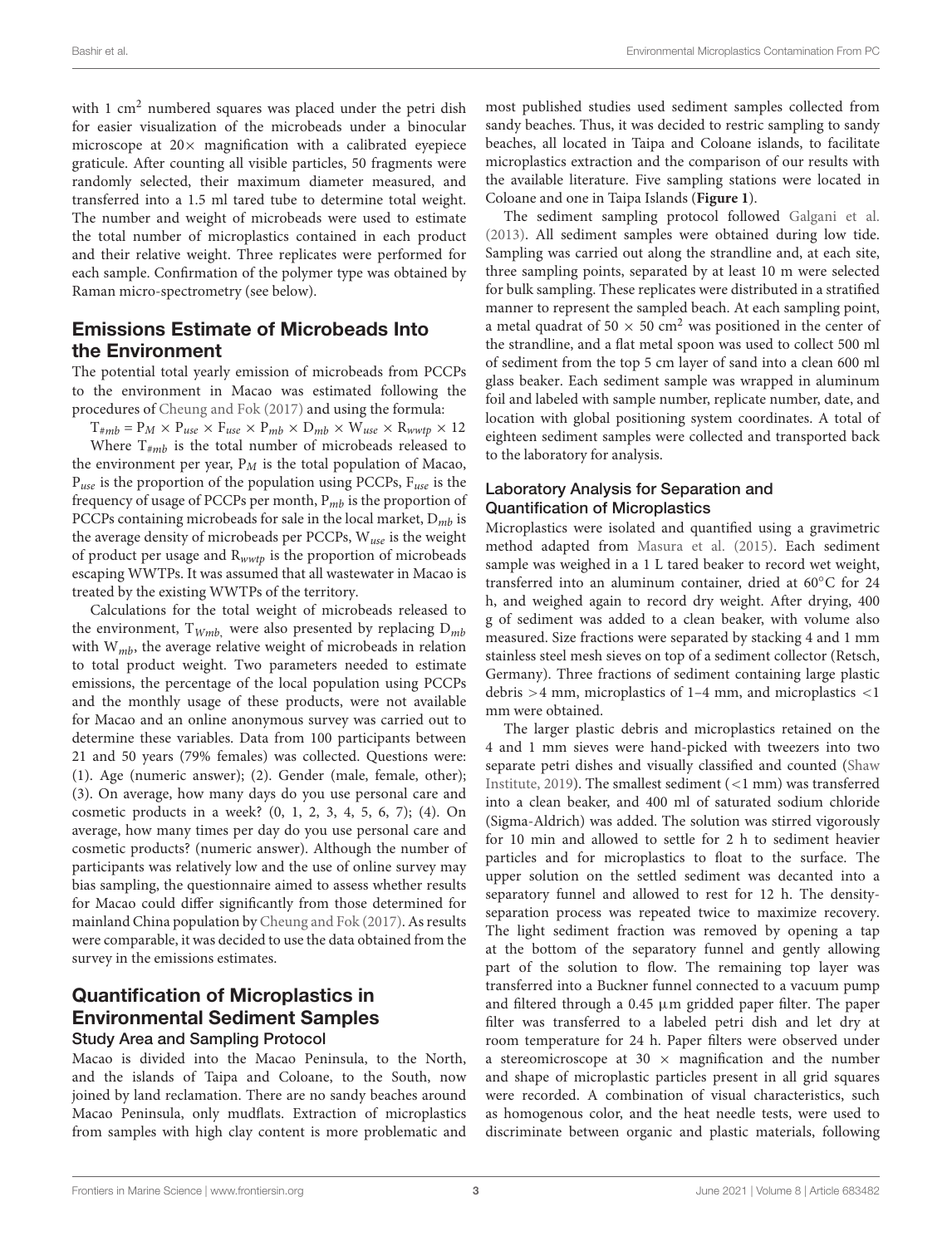with 1 cm<sup>2</sup> numbered squares was placed under the petri dish for easier visualization of the microbeads under a binocular microscope at  $20 \times$  magnification with a calibrated eyepiece graticule. After counting all visible particles, 50 fragments were randomly selected, their maximum diameter measured, and transferred into a 1.5 ml tared tube to determine total weight. The number and weight of microbeads were used to estimate the total number of microplastics contained in each product and their relative weight. Three replicates were performed for each sample. Confirmation of the polymer type was obtained by Raman micro-spectrometry (see below).

# Emissions Estimate of Microbeads Into the Environment

The potential total yearly emission of microbeads from PCCPs to the environment in Macao was estimated following the procedures of [Cheung and Fok](#page-9-7) [\(2017\)](#page-9-7) and using the formula:

 $T_{\#mb} = P_M \times P_{use} \times F_{use} \times P_{mb} \times D_{mb} \times W_{use} \times R_{wwtp} \times 12$ Where  $T_{\#mb}$  is the total number of microbeads released to the environment per year,  $P_M$  is the total population of Macao,  $P_{use}$  is the proportion of the population using PCCPs,  $F_{use}$  is the frequency of usage of PCCPs per month,  $P_{mb}$  is the proportion of PCCPs containing microbeads for sale in the local market,  $D_{mb}$  is the average density of microbeads per PCCPs,  $W_{use}$  is the weight of product per usage and  $R_{wwtp}$  is the proportion of microbeads escaping WWTPs. It was assumed that all wastewater in Macao is treated by the existing WWTPs of the territory.

Calculations for the total weight of microbeads released to the environment,  $T_{Wmb}$ , were also presented by replacing  $D_{mb}$ with  $W_{mb}$ , the average relative weight of microbeads in relation to total product weight. Two parameters needed to estimate emissions, the percentage of the local population using PCCPs and the monthly usage of these products, were not available for Macao and an online anonymous survey was carried out to determine these variables. Data from 100 participants between 21 and 50 years (79% females) was collected. Questions were: (1). Age (numeric answer); (2). Gender (male, female, other); (3). On average, how many days do you use personal care and cosmetic products in a week? (0, 1, 2, 3, 4, 5, 6, 7); (4). On average, how many times per day do you use personal care and cosmetic products? (numeric answer). Although the number of participants was relatively low and the use of online survey may bias sampling, the questionnaire aimed to assess whether results for Macao could differ significantly from those determined for mainland China population by [Cheung and Fok](#page-9-7) [\(2017\)](#page-9-7). As results were comparable, it was decided to use the data obtained from the survey in the emissions estimates.

# Quantification of Microplastics in Environmental Sediment Samples

#### Study Area and Sampling Protocol

Macao is divided into the Macao Peninsula, to the North, and the islands of Taipa and Coloane, to the South, now joined by land reclamation. There are no sandy beaches around Macao Peninsula, only mudflats. Extraction of microplastics from samples with high clay content is more problematic and

most published studies used sediment samples collected from sandy beaches. Thus, it was decided to restric sampling to sandy beaches, all located in Taipa and Coloane islands, to facilitate microplastics extraction and the comparison of our results with the available literature. Five sampling stations were located in Coloane and one in Taipa Islands (**[Figure 1](#page-3-0)**).

The sediment sampling protocol followed [Galgani et al.](#page-9-14) [\(2013\)](#page-9-14). All sediment samples were obtained during low tide. Sampling was carried out along the strandline and, at each site, three sampling points, separated by at least 10 m were selected for bulk sampling. These replicates were distributed in a stratified manner to represent the sampled beach. At each sampling point, a metal quadrat of 50  $\times$  50 cm<sup>2</sup> was positioned in the center of the strandline, and a flat metal spoon was used to collect 500 ml of sediment from the top 5 cm layer of sand into a clean 600 ml glass beaker. Each sediment sample was wrapped in aluminum foil and labeled with sample number, replicate number, date, and location with global positioning system coordinates. A total of eighteen sediment samples were collected and transported back to the laboratory for analysis.

#### Laboratory Analysis for Separation and Quantification of Microplastics

Microplastics were isolated and quantified using a gravimetric method adapted from [Masura et al.](#page-9-15) [\(2015\)](#page-9-15). Each sediment sample was weighed in a 1 L tared beaker to record wet weight, transferred into an aluminum container, dried at 60◦C for 24 h, and weighed again to record dry weight. After drying, 400 g of sediment was added to a clean beaker, with volume also measured. Size fractions were separated by stacking 4 and 1 mm stainless steel mesh sieves on top of a sediment collector (Retsch, Germany). Three fractions of sediment containing large plastic debris >4 mm, microplastics of 1–4 mm, and microplastics <1 mm were obtained.

The larger plastic debris and microplastics retained on the 4 and 1 mm sieves were hand-picked with tweezers into two separate petri dishes and visually classified and counted [\(Shaw](#page-10-8) [Institute,](#page-10-8) [2019\)](#page-10-8). The smallest sediment (<1 mm) was transferred into a clean beaker, and 400 ml of saturated sodium chloride (Sigma-Aldrich) was added. The solution was stirred vigorously for 10 min and allowed to settle for 2 h to sediment heavier particles and for microplastics to float to the surface. The upper solution on the settled sediment was decanted into a separatory funnel and allowed to rest for 12 h. The densityseparation process was repeated twice to maximize recovery. The light sediment fraction was removed by opening a tap at the bottom of the separatory funnel and gently allowing part of the solution to flow. The remaining top layer was transferred into a Buckner funnel connected to a vacuum pump and filtered through a 0.45  $\mu$ m gridded paper filter. The paper filter was transferred to a labeled petri dish and let dry at room temperature for 24 h. Paper filters were observed under a stereomicroscope at 30  $\times$  magnification and the number and shape of microplastic particles present in all grid squares were recorded. A combination of visual characteristics, such as homogenous color, and the heat needle tests, were used to discriminate between organic and plastic materials, following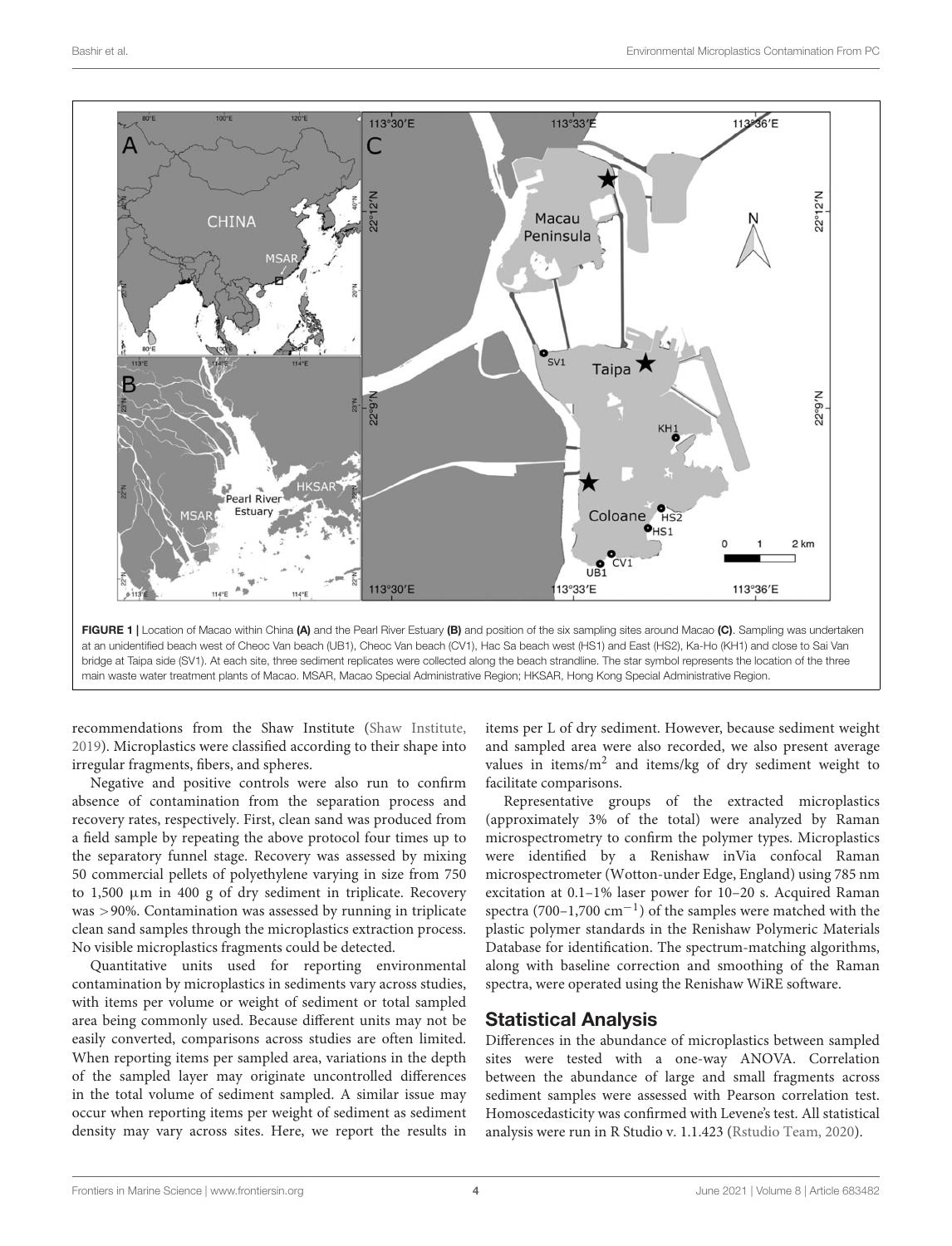

<span id="page-3-0"></span>bridge at Taipa side (SV1). At each site, three sediment replicates were collected along the beach strandline. The star symbol represents the location of the three main waste water treatment plants of Macao. MSAR, Macao Special Administrative Region; HKSAR, Hong Kong Special Administrative Region.

recommendations from the Shaw Institute [\(Shaw Institute,](#page-10-8) [2019\)](#page-10-8). Microplastics were classified according to their shape into irregular fragments, fibers, and spheres.

Negative and positive controls were also run to confirm absence of contamination from the separation process and recovery rates, respectively. First, clean sand was produced from a field sample by repeating the above protocol four times up to the separatory funnel stage. Recovery was assessed by mixing 50 commercial pellets of polyethylene varying in size from 750 to  $1,500 \mu m$  in  $400 \text{ g}$  of dry sediment in triplicate. Recovery was >90%. Contamination was assessed by running in triplicate clean sand samples through the microplastics extraction process. No visible microplastics fragments could be detected.

Quantitative units used for reporting environmental contamination by microplastics in sediments vary across studies, with items per volume or weight of sediment or total sampled area being commonly used. Because different units may not be easily converted, comparisons across studies are often limited. When reporting items per sampled area, variations in the depth of the sampled layer may originate uncontrolled differences in the total volume of sediment sampled. A similar issue may occur when reporting items per weight of sediment as sediment density may vary across sites. Here, we report the results in

items per L of dry sediment. However, because sediment weight and sampled area were also recorded, we also present average values in items/m<sup>2</sup> and items/kg of dry sediment weight to facilitate comparisons.

Representative groups of the extracted microplastics (approximately 3% of the total) were analyzed by Raman microspectrometry to confirm the polymer types. Microplastics were identified by a Renishaw inVia confocal Raman microspectrometer (Wotton-under Edge, England) using 785 nm excitation at 0.1–1% laser power for 10–20 s. Acquired Raman spectra (700–1,700 cm<sup>-1</sup>) of the samples were matched with the plastic polymer standards in the Renishaw Polymeric Materials Database for identification. The spectrum-matching algorithms, along with baseline correction and smoothing of the Raman spectra, were operated using the Renishaw WiRE software.

### Statistical Analysis

Differences in the abundance of microplastics between sampled sites were tested with a one-way ANOVA. Correlation between the abundance of large and small fragments across sediment samples were assessed with Pearson correlation test. Homoscedasticity was confirmed with Levene's test. All statistical analysis were run in R Studio v. 1.1.423 [\(Rstudio Team,](#page-10-9) [2020\)](#page-10-9).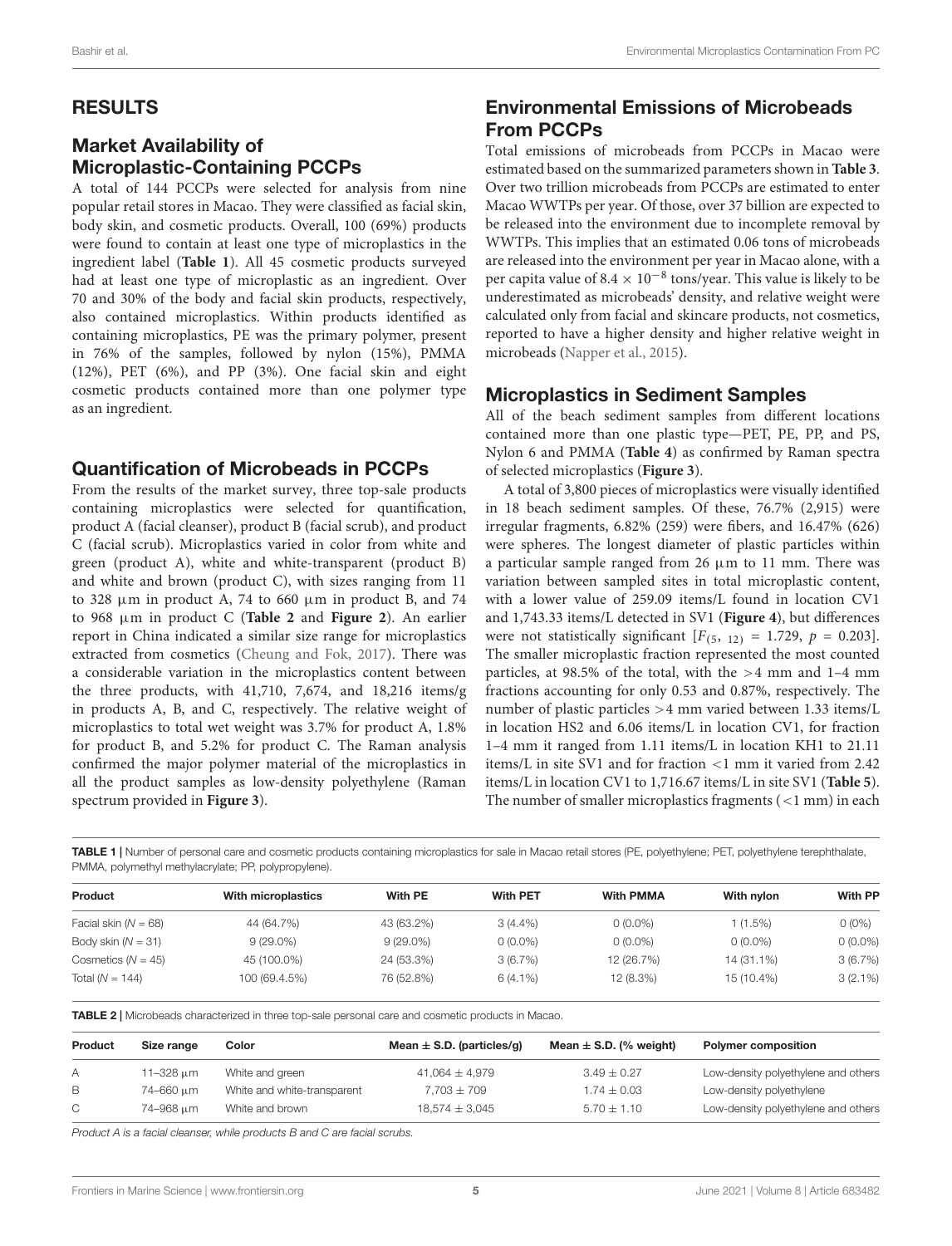### RESULTS

# Market Availability of Microplastic-Containing PCCPs

A total of 144 PCCPs were selected for analysis from nine popular retail stores in Macao. They were classified as facial skin, body skin, and cosmetic products. Overall, 100 (69%) products were found to contain at least one type of microplastics in the ingredient label (**[Table 1](#page-4-0)**). All 45 cosmetic products surveyed had at least one type of microplastic as an ingredient. Over 70 and 30% of the body and facial skin products, respectively, also contained microplastics. Within products identified as containing microplastics, PE was the primary polymer, present in 76% of the samples, followed by nylon (15%), PMMA (12%), PET (6%), and PP (3%). One facial skin and eight cosmetic products contained more than one polymer type as an ingredient.

### Quantification of Microbeads in PCCPs

From the results of the market survey, three top-sale products containing microplastics were selected for quantification, product A (facial cleanser), product B (facial scrub), and product C (facial scrub). Microplastics varied in color from white and green (product A), white and white-transparent (product B) and white and brown (product C), with sizes ranging from 11 to 328  $\mu$ m in product A, 74 to 660  $\mu$ m in product B, and 74 to 968 µm in product C (**[Table 2](#page-4-1)** and **[Figure 2](#page-5-0)**). An earlier report in China indicated a similar size range for microplastics extracted from cosmetics [\(Cheung and Fok,](#page-9-7) [2017\)](#page-9-7). There was a considerable variation in the microplastics content between the three products, with 41,710, 7,674, and 18,216 items/g in products A, B, and C, respectively. The relative weight of microplastics to total wet weight was 3.7% for product A, 1.8% for product B, and 5.2% for product C. The Raman analysis confirmed the major polymer material of the microplastics in all the product samples as low-density polyethylene (Raman spectrum provided in **[Figure 3](#page-5-1)**).

# Environmental Emissions of Microbeads From PCCPs

Total emissions of microbeads from PCCPs in Macao were estimated based on the summarized parameters shown in **[Table 3](#page-6-0)**. Over two trillion microbeads from PCCPs are estimated to enter Macao WWTPs per year. Of those, over 37 billion are expected to be released into the environment due to incomplete removal by WWTPs. This implies that an estimated 0.06 tons of microbeads are released into the environment per year in Macao alone, with a per capita value of  $8.4 \times 10^{-8}$  tons/year. This value is likely to be underestimated as microbeads' density, and relative weight were calculated only from facial and skincare products, not cosmetics, reported to have a higher density and higher relative weight in microbeads [\(Napper et al.,](#page-10-4) [2015\)](#page-10-4).

### Microplastics in Sediment Samples

All of the beach sediment samples from different locations contained more than one plastic type—PET, PE, PP, and PS, Nylon 6 and PMMA (**[Table 4](#page-6-1)**) as confirmed by Raman spectra of selected microplastics (**[Figure 3](#page-5-1)**).

A total of 3,800 pieces of microplastics were visually identified in 18 beach sediment samples. Of these, 76.7% (2,915) were irregular fragments, 6.82% (259) were fibers, and 16.47% (626) were spheres. The longest diameter of plastic particles within a particular sample ranged from 26  $\mu$ m to 11 mm. There was variation between sampled sites in total microplastic content, with a lower value of 259.09 items/L found in location CV1 and 1,743.33 items/L detected in SV1 (**[Figure 4](#page-6-2)**), but differences were not statistically significant  $[F(5, 12) = 1.729, p = 0.203]$ . The smaller microplastic fraction represented the most counted particles, at 98.5% of the total, with the  $>4$  mm and 1–4 mm fractions accounting for only 0.53 and 0.87%, respectively. The number of plastic particles >4 mm varied between 1.33 items/L in location HS2 and 6.06 items/L in location CV1, for fraction 1–4 mm it ranged from 1.11 items/L in location KH1 to 21.11 items/L in site SV1 and for fraction <1 mm it varied from 2.42 items/L in location CV1 to 1,716.67 items/L in site SV1 (**[Table 5](#page-7-0)**). The number of smaller microplastics fragments (<1 mm) in each

<span id="page-4-0"></span>TABLE 1 | Number of personal care and cosmetic products containing microplastics for sale in Macao retail stores (PE, polyethylene; PET, polyethylene terephthalate, PMMA, polymethyl methylacrylate; PP, polypropylene).

| With microplastics | With PE     | <b>With PET</b> | <b>With PMMA</b> | With nylon | <b>With PP</b> |
|--------------------|-------------|-----------------|------------------|------------|----------------|
| 44 (64.7%)         | 43 (63.2%)  | $3(4.4\%)$      | $0(0.0\%)$       | $1(1.5\%)$ | $0(0\%)$       |
| $9(29.0\%)$        | $9(29.0\%)$ | $0(0.0\%)$      | $0(0.0\%)$       | $0(0.0\%)$ | $0(0.0\%)$     |
| 45 (100.0%)        | 24 (53.3%)  | 3(6.7%)         | 12 (26.7%)       | 14 (31.1%) | 3(6.7%)        |
| 100 (69.4.5%)      | 76 (52.8%)  | $6(4.1\%)$      | 12 (8.3%)        | 15 (10.4%) | $3(2.1\%)$     |
|                    |             |                 |                  |            |                |

<span id="page-4-1"></span>TABLE 2 | Microbeads characterized in three top-sale personal care and cosmetic products in Macao.

| Product      | Size range | Color                       | Mean $\pm$ S.D. (particles/g) | Mean $\pm$ S.D. (% weight) | <b>Polymer composition</b>          |
|--------------|------------|-----------------------------|-------------------------------|----------------------------|-------------------------------------|
| A            | 11-328 μm  | White and green             | $41,064 \pm 4,979$            | $3.49 \pm 0.27$            | Low-density polyethylene and others |
| B            | 74-660 um  | White and white-transparent | $7.703 \pm 709$               | $1.74 \pm 0.03$            | Low-density polyethylene            |
| $\mathbb{C}$ | 74-968 um  | White and brown             | $18,574 \pm 3,045$            | $5.70 \pm 1.10$            | Low-density polyethylene and others |

Product A is a facial cleanser, while products B and C are facial scrubs.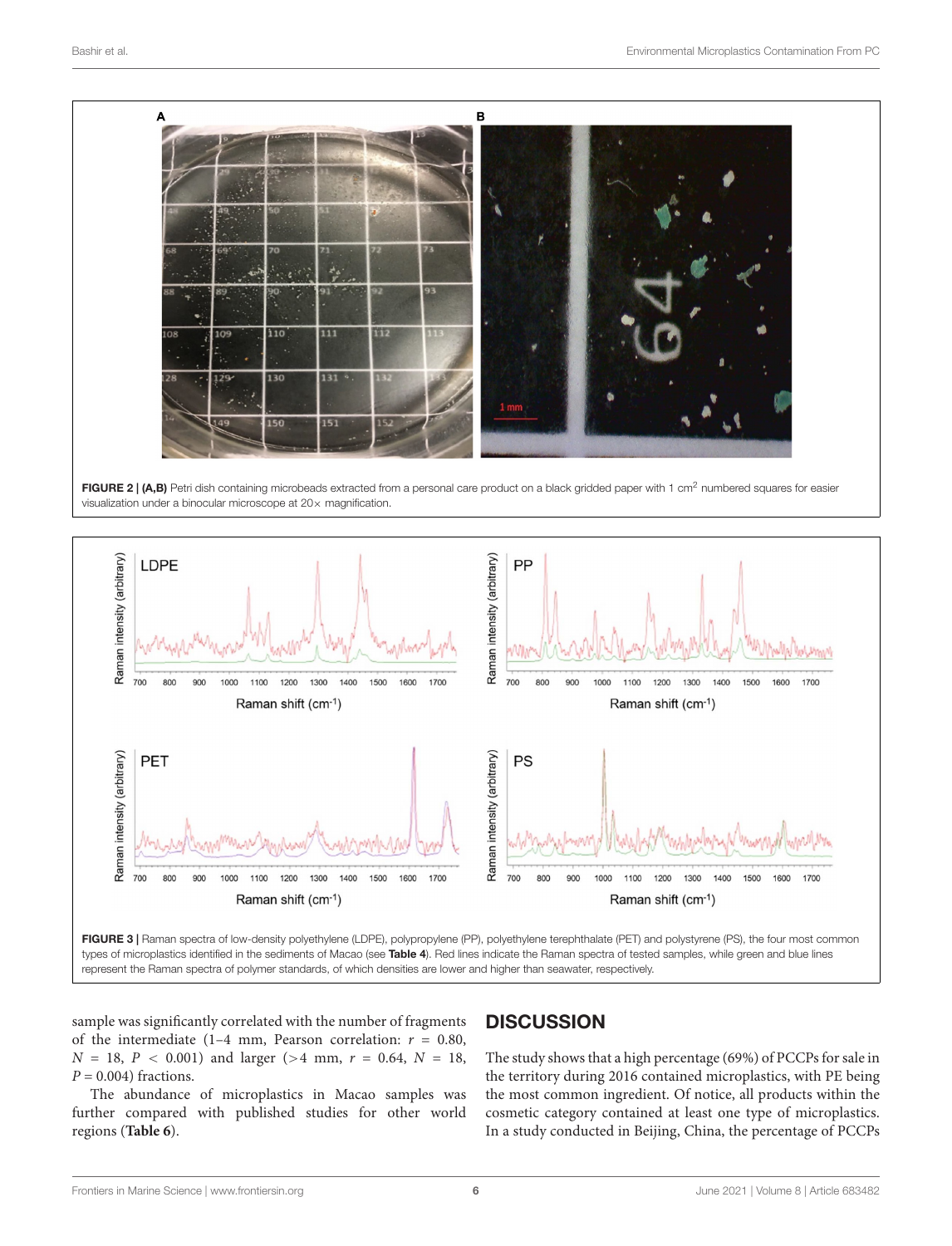<span id="page-5-0"></span>

<span id="page-5-1"></span>sample was significantly correlated with the number of fragments of the intermediate (1-4 mm, Pearson correlation:  $r = 0.80$ ,  $N = 18$ ,  $P < 0.001$ ) and larger (>4 mm,  $r = 0.64$ ,  $N = 18$ ,  $P = 0.004$ ) fractions.

The abundance of microplastics in Macao samples was further compared with published studies for other world regions (**[Table 6](#page-7-1)**).

# **DISCUSSION**

The study shows that a high percentage (69%) of PCCPs for sale in the territory during 2016 contained microplastics, with PE being the most common ingredient. Of notice, all products within the cosmetic category contained at least one type of microplastics. In a study conducted in Beijing, China, the percentage of PCCPs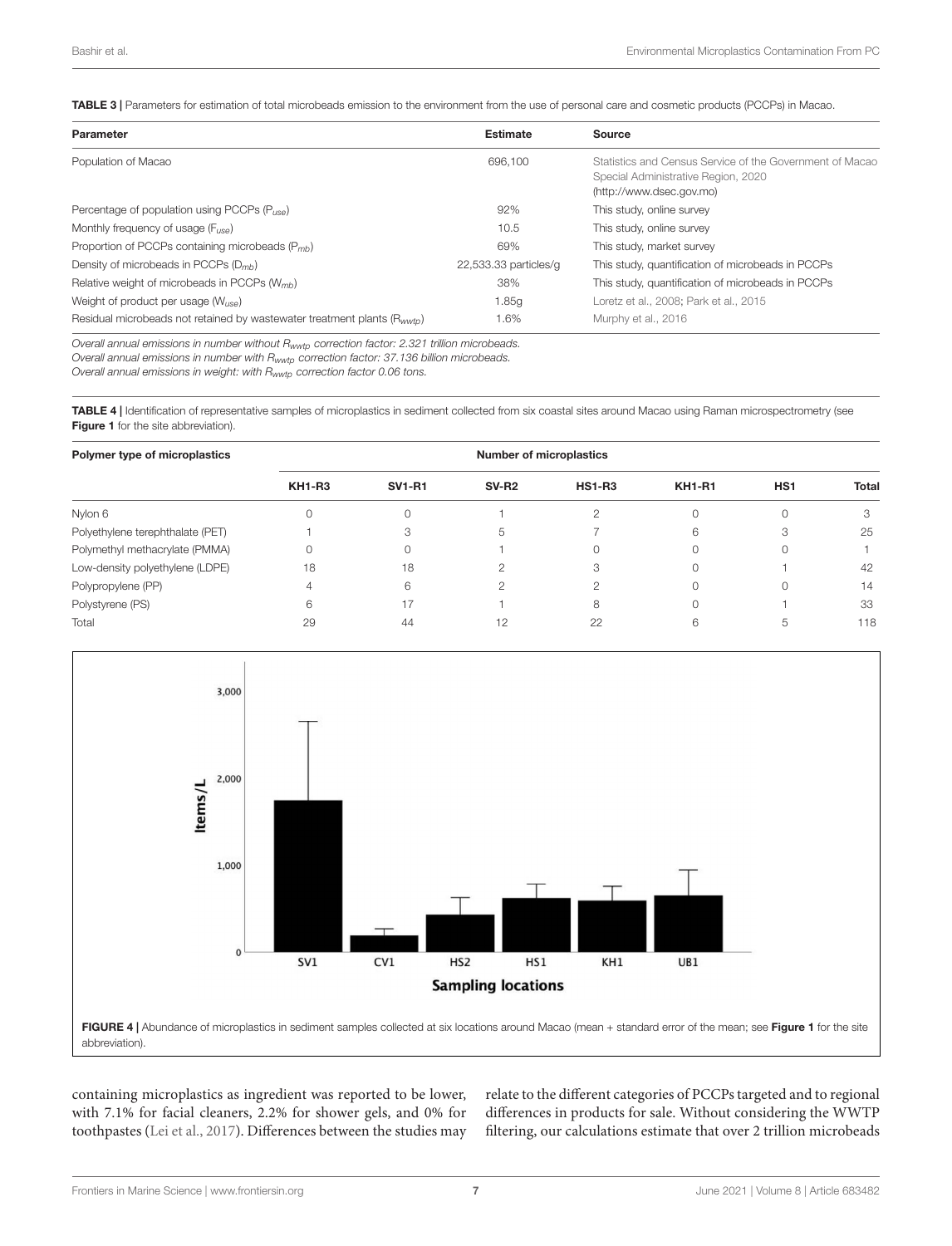<span id="page-6-0"></span>TABLE 3 | Parameters for estimation of total microbeads emission to the environment from the use of personal care and cosmetic products (PCCPs) in Macao.

| <b>Parameter</b>                                                                     | <b>Estimate</b>       | Source                                                                                                                      |
|--------------------------------------------------------------------------------------|-----------------------|-----------------------------------------------------------------------------------------------------------------------------|
| Population of Macao                                                                  | 696.100               | Statistics and Census Service of the Government of Macao<br>Special Administrative Region, 2020<br>(http://www.dsec.gov.mo) |
| Percentage of population using PCCPs $(P_{t,eq})$                                    | 92%                   | This study, online survey                                                                                                   |
| Monthly frequency of usage $(F_{\text{LSS}})$                                        | 10.5                  | This study, online survey                                                                                                   |
| Proportion of PCCPs containing microbeads $(P_{mb})$                                 | 69%                   | This study, market survey                                                                                                   |
| Density of microbeads in PCCPs $(D_{mh})$                                            | 22,533.33 particles/g | This study, quantification of microbeads in PCCPs                                                                           |
| Relative weight of microbeads in PCCPs (W <sub>mb</sub> )                            | 38%                   | This study, quantification of microbeads in PCCPs                                                                           |
| Weight of product per usage $(W_{\text{USA}})$                                       | 1.85g                 | Loretz et al., 2008: Park et al., 2015                                                                                      |
| Residual microbeads not retained by wastewater treatment plants (R <sub>wwtn</sub> ) | 1.6%                  | Murphy et al., 2016                                                                                                         |

Overall annual emissions in number without Rwwtp correction factor: 2.321 trillion microbeads.

Overall annual emissions in number with Rwwtp correction factor: 37.136 billion microbeads.

Overall annual emissions in weight: with Rwwtp correction factor 0.06 tons.

<span id="page-6-1"></span>TABLE 4 | Identification of representative samples of microplastics in sediment collected from six coastal sites around Macao using Raman microspectrometry (see [Figure 1](#page-3-0) for the site abbreviation).

| Polymer type of microplastics    |               | <b>Number of microplastics</b> |              |               |               |                 |              |  |
|----------------------------------|---------------|--------------------------------|--------------|---------------|---------------|-----------------|--------------|--|
|                                  | <b>KH1-R3</b> | <b>SV1-R1</b>                  | <b>SV-R2</b> | <b>HS1-R3</b> | <b>KH1-R1</b> | HS <sub>1</sub> | <b>Total</b> |  |
| Nylon 6                          |               |                                |              | ◠             |               |                 | З            |  |
| Polyethylene terephthalate (PET) |               |                                |              |               | 6             | З               | 25           |  |
| Polymethyl methacrylate (PMMA)   |               |                                |              | 0             |               |                 |              |  |
| Low-density polyethylene (LDPE)  | 18            | 18                             |              | З             |               |                 | 42           |  |
| Polypropylene (PP)               |               | 6                              |              | 2             |               |                 | 14           |  |
| Polystyrene (PS)                 |               | 17                             |              | 8             |               |                 | 33           |  |
| Total                            | 29            | 44                             | 12           | 22            | 6             | b               | 118          |  |



<span id="page-6-2"></span>containing microplastics as ingredient was reported to be lower, with 7.1% for facial cleaners, 2.2% for shower gels, and 0% for toothpastes [\(Lei et al.,](#page-9-17) [2017\)](#page-9-17). Differences between the studies may relate to the different categories of PCCPs targeted and to regional differences in products for sale. Without considering the WWTP filtering, our calculations estimate that over 2 trillion microbeads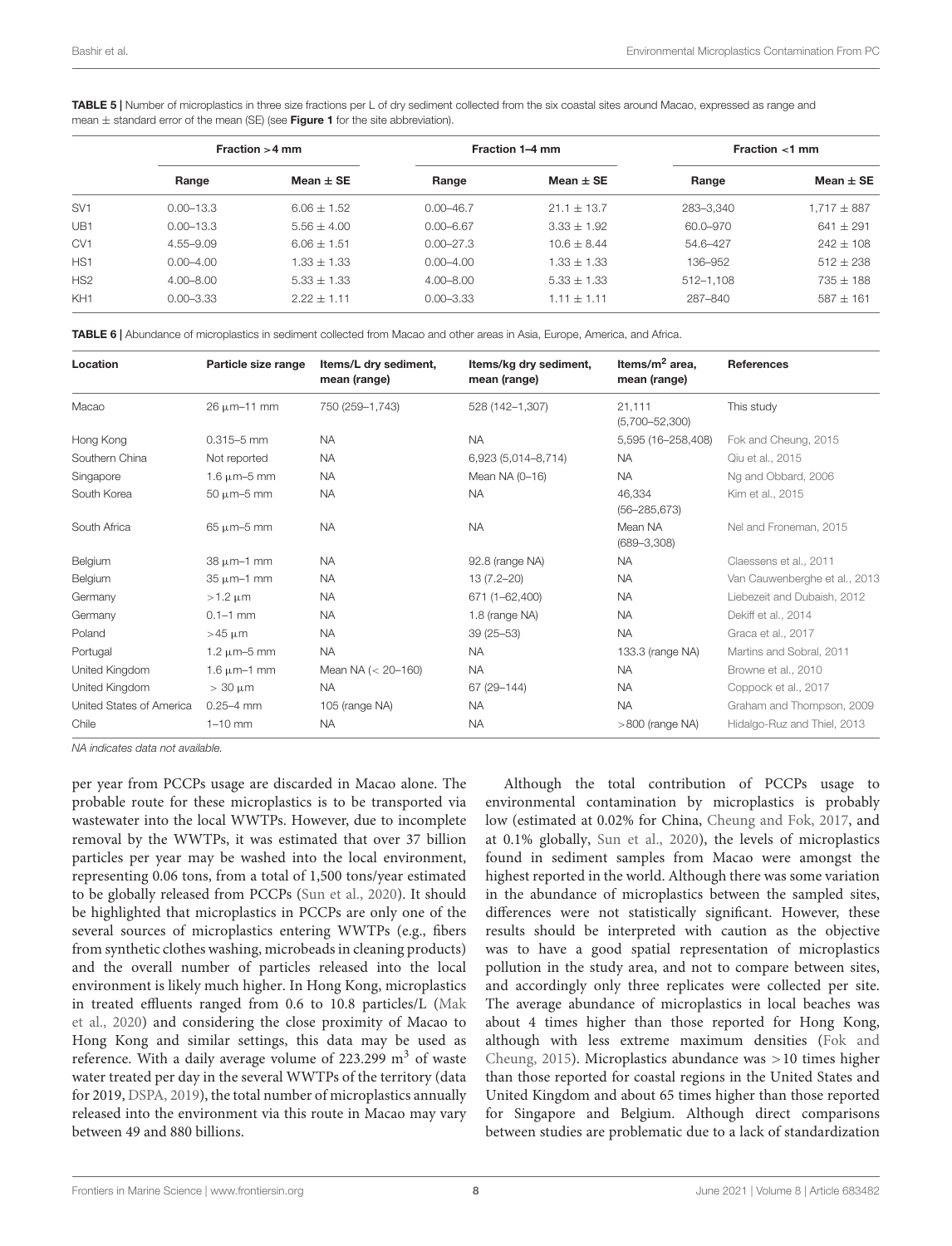<span id="page-7-0"></span>TABLE 5 | Number of microplastics in three size fractions per L of dry sediment collected from the six coastal sites around Macao, expressed as range and mean  $\pm$  standard error of the mean (SE) (see [Figure 1](#page-3-0) for the site abbreviation).

|                 | Fraction $>4$ mm |               | Fraction 1-4 mm |               | Fraction $<$ 1 mm |                 |
|-----------------|------------------|---------------|-----------------|---------------|-------------------|-----------------|
|                 | Range            | $Mean + SE$   | Range           | Mean $\pm$ SE | Range             | Mean $\pm$ SE   |
| SV <sub>1</sub> | $0.00 - 13.3$    | $6.06 + 1.52$ | $0.00 - 46.7$   | $21.1 + 13.7$ | 283-3.340         | $1,717 \pm 887$ |
| UB1             | $0.00 - 13.3$    | $5.56 + 4.00$ | $0.00 - 6.67$   | $3.33 + 1.92$ | 60.0-970          | $641 \pm 291$   |
| CV <sub>1</sub> | $4.55 - 9.09$    | $6.06 + 1.51$ | $0.00 - 27.3$   | $10.6 + 8.44$ | 54.6-427          | $242 + 108$     |
| HS <sub>1</sub> | $0.00 - 4.00$    | $1.33 + 1.33$ | $0.00 - 4.00$   | $1.33 + 1.33$ | 136-952           | $512 \pm 238$   |
| HS <sub>2</sub> | $4.00 - 8.00$    | $5.33 + 1.33$ | $4.00 - 8.00$   | $5.33 + 1.33$ | $512 - 1.108$     | $735 + 188$     |
| KH <sub>1</sub> | $0.00 - 3.33$    | $2.22 + 1.11$ | $0.00 - 3.33$   | $1.11 + 1.11$ | 287-840           | $587 + 161$     |

<span id="page-7-1"></span>TABLE 6 | Abundance of microplastics in sediment collected from Macao and other areas in Asia, Europe, America, and Africa.

| Location                 | Particle size range   | Items/L dry sediment,<br>mean (range) | Items/kg dry sediment,<br>mean (range) | Items/ $m^2$ area,<br>mean (range) | <b>References</b>             |
|--------------------------|-----------------------|---------------------------------------|----------------------------------------|------------------------------------|-------------------------------|
| Macao                    | $26 \mu m - 11 \mu m$ | 750 (259-1,743)                       | 528 (142-1,307)                        | 21,111<br>$(5,700 - 52,300)$       | This study                    |
| Hong Kong                | $0.315 - 5$ mm        | <b>NA</b>                             | <b>NA</b>                              | 5,595 (16-258,408)                 | Fok and Cheung, 2015          |
| Southern China           | Not reported          | <b>NA</b>                             | 6,923 (5,014-8,714)                    | <b>NA</b>                          | Qiu et al., 2015              |
| Singapore                | $1.6 \mu m - 5 \mu m$ | <b>NA</b>                             | Mean NA (0-16)                         | <b>NA</b>                          | Ng and Obbard, 2006           |
| South Korea              | $50 \mu m - 5 \mu m$  | <b>NA</b>                             | <b>NA</b>                              | 46,334<br>$(56 - 285, 673)$        | Kim et al., 2015              |
| South Africa             | $65 \mu m - 5 \mu m$  | <b>NA</b>                             | <b>NA</b>                              | Mean NA<br>$(689 - 3,308)$         | Nel and Froneman, 2015        |
| Belgium                  | $38 \mu m - 1$ mm     | <b>NA</b>                             | 92.8 (range NA)                        | <b>NA</b>                          | Claessens et al., 2011        |
| Belgium                  | $35 \mu m-1$ mm       | <b>NA</b>                             | $13(7.2 - 20)$                         | <b>NA</b>                          | Van Cauwenberghe et al., 2013 |
| Germany                  | $>1.2 \mu m$          | <b>NA</b>                             | 671 (1-62,400)                         | <b>NA</b>                          | Liebezeit and Dubaish, 2012   |
| Germany                  | $0.1 - 1$ mm          | <b>NA</b>                             | 1.8 (range NA)                         | <b>NA</b>                          | Dekiff et al., 2014           |
| Poland                   | $>45 \mu m$           | <b>NA</b>                             | $39(25 - 53)$                          | <b>NA</b>                          | Graca et al., 2017            |
| Portugal                 | 1.2 $\mu$ m-5 mm      | <b>NA</b>                             | <b>NA</b>                              | 133.3 (range NA)                   | Martins and Sobral, 2011      |
| United Kingdom           | $1.6 \mu m - 1$ mm    | Mean NA $(< 20 - 160)$                | <b>NA</b>                              | <b>NA</b>                          | Browne et al., 2010           |
| United Kingdom           | $> 30 \mu m$          | <b>NA</b>                             | 67 (29-144)                            | <b>NA</b>                          | Coppock et al., 2017          |
| United States of America | $0.25 - 4$ mm         | 105 (range NA)                        | <b>NA</b>                              | <b>NA</b>                          | Graham and Thompson, 2009     |
| Chile                    | $1-10$ mm             | <b>NA</b>                             | <b>NA</b>                              | $>800$ (range NA)                  | Hidalgo-Ruz and Thiel, 2013   |

NA indicates data not available.

per year from PCCPs usage are discarded in Macao alone. The probable route for these microplastics is to be transported via wastewater into the local WWTPs. However, due to incomplete removal by the WWTPs, it was estimated that over 37 billion particles per year may be washed into the local environment, representing 0.06 tons, from a total of 1,500 tons/year estimated to be globally released from PCCPs [\(Sun et al.,](#page-10-17) [2020\)](#page-10-17). It should be highlighted that microplastics in PCCPs are only one of the several sources of microplastics entering WWTPs (e.g., fibers from synthetic clothes washing, microbeads in cleaning products) and the overall number of particles released into the local environment is likely much higher. In Hong Kong, microplastics in treated effluents ranged from 0.6 to 10.8 particles/L [\(Mak](#page-9-6) [et al.,](#page-9-6) [2020\)](#page-9-6) and considering the close proximity of Macao to Hong Kong and similar settings, this data may be used as reference. With a daily average volume of  $223.299 \text{ m}^3$  of waste water treated per day in the several WWTPs of the territory (data for 2019, [DSPA,](#page-9-29) [2019\)](#page-9-29), the total number of microplastics annually released into the environment via this route in Macao may vary between 49 and 880 billions.

Although the total contribution of PCCPs usage to environmental contamination by microplastics is probably low (estimated at 0.02% for China, [Cheung and Fok,](#page-9-7) [2017,](#page-9-7) and at 0.1% globally, [Sun et al.,](#page-10-17) [2020\)](#page-10-17), the levels of microplastics found in sediment samples from Macao were amongst the highest reported in the world. Although there was some variation in the abundance of microplastics between the sampled sites, differences were not statistically significant. However, these results should be interpreted with caution as the objective was to have a good spatial representation of microplastics pollution in the study area, and not to compare between sites, and accordingly only three replicates were collected per site. The average abundance of microplastics in local beaches was about 4 times higher than those reported for Hong Kong, although with less extreme maximum densities [\(Fok and](#page-9-18) [Cheung,](#page-9-18) [2015\)](#page-9-18). Microplastics abundance was >10 times higher than those reported for coastal regions in the United States and United Kingdom and about 65 times higher than those reported for Singapore and Belgium. Although direct comparisons between studies are problematic due to a lack of standardization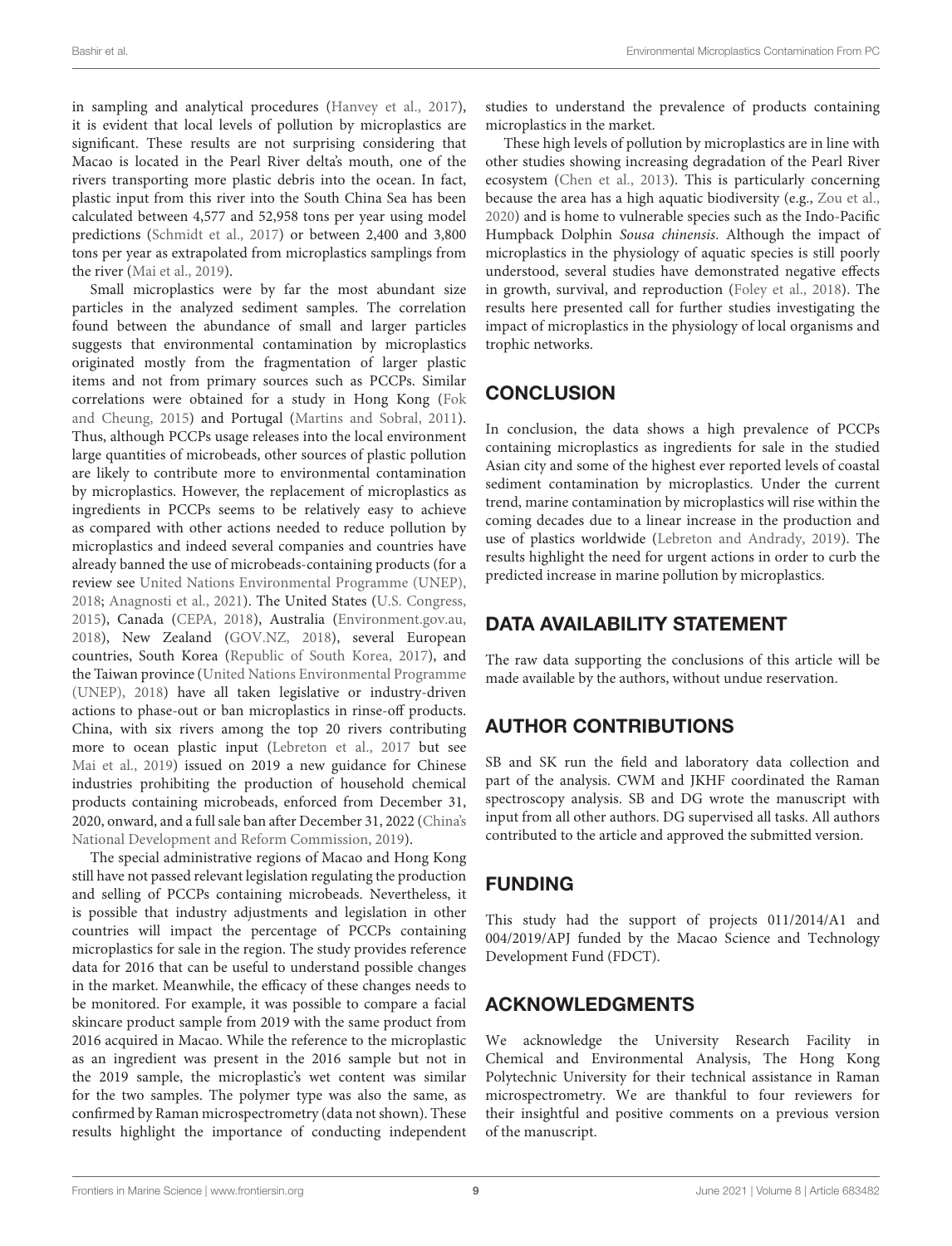in sampling and analytical procedures [\(Hanvey et al.,](#page-9-30) [2017\)](#page-9-30), it is evident that local levels of pollution by microplastics are significant. These results are not surprising considering that Macao is located in the Pearl River delta's mouth, one of the rivers transporting more plastic debris into the ocean. In fact, plastic input from this river into the South China Sea has been calculated between 4,577 and 52,958 tons per year using model predictions [\(Schmidt et al.,](#page-10-7) [2017\)](#page-10-7) or between 2,400 and 3,800 tons per year as extrapolated from microplastics samplings from the river [\(Mai et al.,](#page-9-12) [2019\)](#page-9-12).

Small microplastics were by far the most abundant size particles in the analyzed sediment samples. The correlation found between the abundance of small and larger particles suggests that environmental contamination by microplastics originated mostly from the fragmentation of larger plastic items and not from primary sources such as PCCPs. Similar correlations were obtained for a study in Hong Kong [\(Fok](#page-9-18) [and Cheung,](#page-9-18) [2015\)](#page-9-18) and Portugal [\(Martins and Sobral,](#page-9-24) [2011\)](#page-9-24). Thus, although PCCPs usage releases into the local environment large quantities of microbeads, other sources of plastic pollution are likely to contribute more to environmental contamination by microplastics. However, the replacement of microplastics as ingredients in PCCPs seems to be relatively easy to achieve as compared with other actions needed to reduce pollution by microplastics and indeed several companies and countries have already banned the use of microbeads-containing products (for a review see [United Nations Environmental Programme \(UNEP\),](#page-10-18) [2018;](#page-10-18) [Anagnosti et al.,](#page-9-31) [2021\)](#page-9-31). The United States [\(U.S. Congress,](#page-10-19) [2015\)](#page-10-19), Canada [\(CEPA,](#page-9-32) [2018\)](#page-9-32), Australia [\(Environment.gov.au,](#page-9-33) [2018\)](#page-9-33), New Zealand [\(GOV.NZ,](#page-9-34) [2018\)](#page-9-34), several European countries, South Korea [\(Republic of South Korea,](#page-10-20) [2017\)](#page-10-20), and the Taiwan province [\(United Nations Environmental Programme](#page-10-18) [\(UNEP\),](#page-10-18) [2018\)](#page-10-18) have all taken legislative or industry-driven actions to phase-out or ban microplastics in rinse-off products. China, with six rivers among the top 20 rivers contributing more to ocean plastic input [\(Lebreton et al.,](#page-9-35) [2017](#page-9-35) but see [Mai et al.,](#page-9-12) [2019\)](#page-9-12) issued on 2019 a new guidance for Chinese industries prohibiting the production of household chemical products containing microbeads, enforced from December 31, 2020, onward, and a full sale ban after December 31, 2022 [\(China's](#page-9-36) [National Development and Reform Commission,](#page-9-36) [2019\)](#page-9-36).

The special administrative regions of Macao and Hong Kong still have not passed relevant legislation regulating the production and selling of PCCPs containing microbeads. Nevertheless, it is possible that industry adjustments and legislation in other countries will impact the percentage of PCCPs containing microplastics for sale in the region. The study provides reference data for 2016 that can be useful to understand possible changes in the market. Meanwhile, the efficacy of these changes needs to be monitored. For example, it was possible to compare a facial skincare product sample from 2019 with the same product from 2016 acquired in Macao. While the reference to the microplastic as an ingredient was present in the 2016 sample but not in the 2019 sample, the microplastic's wet content was similar for the two samples. The polymer type was also the same, as confirmed by Raman microspectrometry (data not shown). These results highlight the importance of conducting independent

studies to understand the prevalence of products containing microplastics in the market.

These high levels of pollution by microplastics are in line with other studies showing increasing degradation of the Pearl River ecosystem [\(Chen et al.,](#page-9-37) [2013\)](#page-9-37). This is particularly concerning because the area has a high aquatic biodiversity (e.g., [Zou et al.,](#page-10-21) [2020\)](#page-10-21) and is home to vulnerable species such as the Indo-Pacific Humpback Dolphin Sousa chinensis. Although the impact of microplastics in the physiology of aquatic species is still poorly understood, several studies have demonstrated negative effects in growth, survival, and reproduction [\(Foley et al.,](#page-9-38) [2018\)](#page-9-38). The results here presented call for further studies investigating the impact of microplastics in the physiology of local organisms and trophic networks.

# **CONCLUSION**

In conclusion, the data shows a high prevalence of PCCPs containing microplastics as ingredients for sale in the studied Asian city and some of the highest ever reported levels of coastal sediment contamination by microplastics. Under the current trend, marine contamination by microplastics will rise within the coming decades due to a linear increase in the production and use of plastics worldwide [\(Lebreton and Andrady,](#page-9-39) [2019\)](#page-9-39). The results highlight the need for urgent actions in order to curb the predicted increase in marine pollution by microplastics.

# DATA AVAILABILITY STATEMENT

The raw data supporting the conclusions of this article will be made available by the authors, without undue reservation.

# AUTHOR CONTRIBUTIONS

SB and SK run the field and laboratory data collection and part of the analysis. CWM and JKHF coordinated the Raman spectroscopy analysis. SB and DG wrote the manuscript with input from all other authors. DG supervised all tasks. All authors contributed to the article and approved the submitted version.

# FUNDING

This study had the support of projects 011/2014/A1 and 004/2019/APJ funded by the Macao Science and Technology Development Fund (FDCT).

# ACKNOWLEDGMENTS

We acknowledge the University Research Facility in Chemical and Environmental Analysis, The Hong Kong Polytechnic University for their technical assistance in Raman microspectrometry. We are thankful to four reviewers for their insightful and positive comments on a previous version of the manuscript.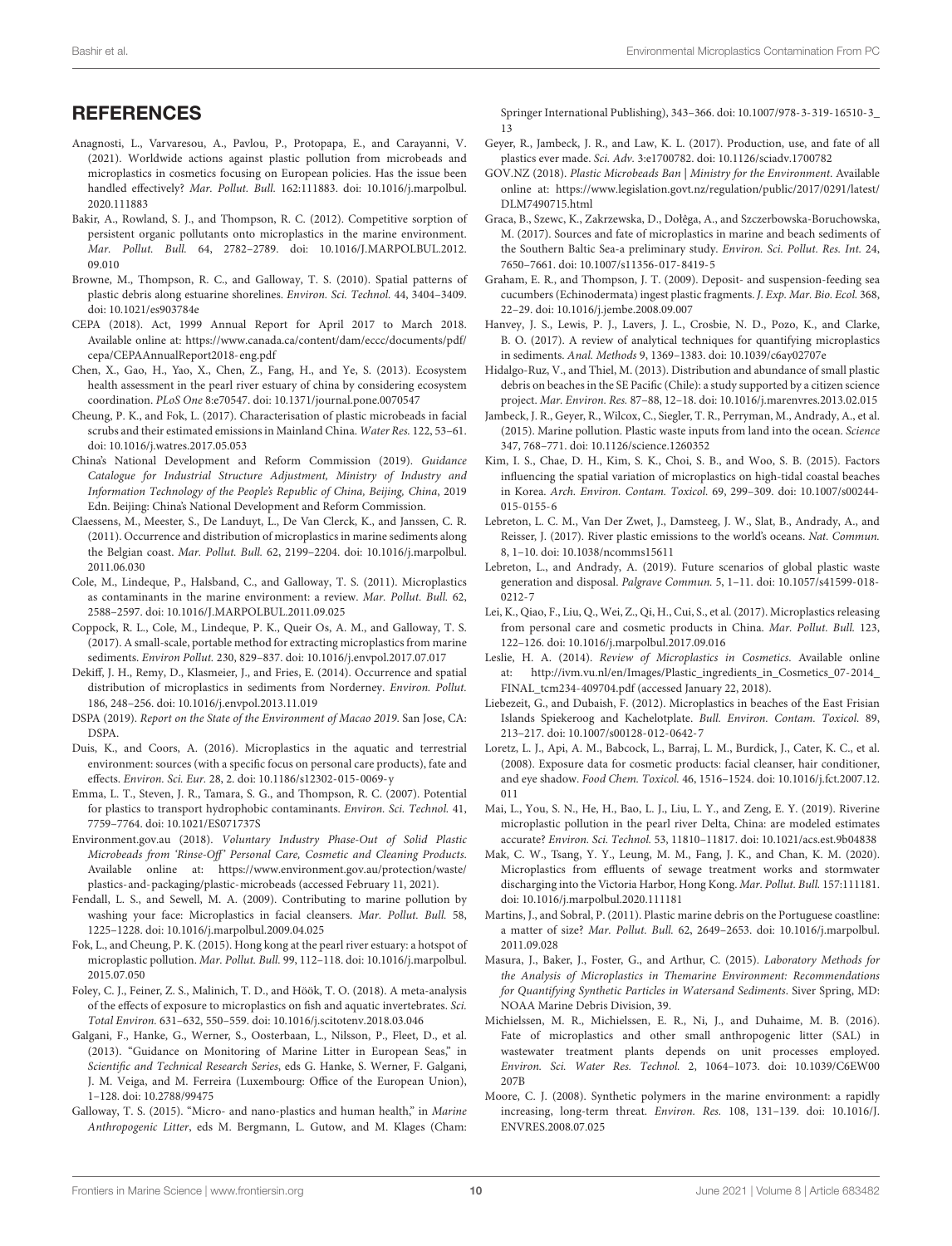### **REFERENCES**

- <span id="page-9-31"></span>Anagnosti, L., Varvaresou, A., Pavlou, P., Protopapa, E., and Carayanni, V. (2021). Worldwide actions against plastic pollution from microbeads and microplastics in cosmetics focusing on European policies. Has the issue been handled effectively? Mar. Pollut. Bull. 162:111883. [doi: 10.1016/j.marpolbul.](https://doi.org/10.1016/j.marpolbul.2020.111883) [2020.111883](https://doi.org/10.1016/j.marpolbul.2020.111883)
- <span id="page-9-9"></span>Bakir, A., Rowland, S. J., and Thompson, R. C. (2012). Competitive sorption of persistent organic pollutants onto microplastics in the marine environment. Mar. Pollut. Bull. 64, 2782–2789. [doi: 10.1016/J.MARPOLBUL.2012.](https://doi.org/10.1016/J.MARPOLBUL.2012.09.010) [09.010](https://doi.org/10.1016/J.MARPOLBUL.2012.09.010)
- <span id="page-9-25"></span>Browne, M., Thompson, R. C., and Galloway, T. S. (2010). Spatial patterns of plastic debris along estuarine shorelines. Environ. Sci. Technol. 44, 3404–3409. [doi: 10.1021/es903784e](https://doi.org/10.1021/es903784e)
- <span id="page-9-32"></span>CEPA (2018). Act, 1999 Annual Report for April 2017 to March 2018. Available online at: [https://www.canada.ca/content/dam/eccc/documents/pdf/](https://www.canada.ca/content/dam/eccc/documents/pdf/cepa/CEPAAnnualReport2018-eng.pdf) [cepa/CEPAAnnualReport2018-eng.pdf](https://www.canada.ca/content/dam/eccc/documents/pdf/cepa/CEPAAnnualReport2018-eng.pdf)
- <span id="page-9-37"></span>Chen, X., Gao, H., Yao, X., Chen, Z., Fang, H., and Ye, S. (2013). Ecosystem health assessment in the pearl river estuary of china by considering ecosystem coordination. PLoS One 8:e70547. [doi: 10.1371/journal.pone.0070547](https://doi.org/10.1371/journal.pone.0070547)
- <span id="page-9-7"></span>Cheung, P. K., and Fok, L. (2017). Characterisation of plastic microbeads in facial scrubs and their estimated emissions in Mainland China. Water Res. 122, 53–61. [doi: 10.1016/j.watres.2017.05.053](https://doi.org/10.1016/j.watres.2017.05.053)
- <span id="page-9-36"></span>China's National Development and Reform Commission (2019). Guidance Catalogue for Industrial Structure Adjustment, Ministry of Industry and Information Technology of the People's Republic of China, Beijing, China, 2019 Edn. Beijing: China's National Development and Reform Commission.
- <span id="page-9-20"></span>Claessens, M., Meester, S., De Landuyt, L., De Van Clerck, K., and Janssen, C. R. (2011). Occurrence and distribution of microplastics in marine sediments along the Belgian coast. Mar. Pollut. Bull. 62, 2199–2204. [doi: 10.1016/j.marpolbul.](https://doi.org/10.1016/j.marpolbul.2011.06.030) [2011.06.030](https://doi.org/10.1016/j.marpolbul.2011.06.030)
- <span id="page-9-3"></span>Cole, M., Lindeque, P., Halsband, C., and Galloway, T. S. (2011). Microplastics as contaminants in the marine environment: a review. Mar. Pollut. Bull. 62, 2588–2597. [doi: 10.1016/J.MARPOLBUL.2011.09.025](https://doi.org/10.1016/J.MARPOLBUL.2011.09.025)
- <span id="page-9-26"></span>Coppock, R. L., Cole, M., Lindeque, P. K., Queir Os, A. M., and Galloway, T. S. (2017). A small-scale, portable method for extracting microplastics from marine sediments. Environ Pollut. 230, 829–837. [doi: 10.1016/j.envpol.2017.07.017](https://doi.org/10.1016/j.envpol.2017.07.017)
- <span id="page-9-22"></span>Dekiff, J. H., Remy, D., Klasmeier, J., and Fries, E. (2014). Occurrence and spatial distribution of microplastics in sediments from Norderney. Environ. Pollut. 186, 248–256. [doi: 10.1016/j.envpol.2013.11.019](https://doi.org/10.1016/j.envpol.2013.11.019)
- <span id="page-9-29"></span>DSPA (2019). Report on the State of the Environment of Macao 2019. San Jose, CA: DSPA.
- <span id="page-9-10"></span>Duis, K., and Coors, A. (2016). Microplastics in the aquatic and terrestrial environment: sources (with a specific focus on personal care products), fate and effects. Environ. Sci. Eur. 28, 2. [doi: 10.1186/s12302-015-0069-y](https://doi.org/10.1186/s12302-015-0069-y)
- <span id="page-9-8"></span>Emma, L. T., Steven, J. R., Tamara, S. G., and Thompson, R. C. (2007). Potential for plastics to transport hydrophobic contaminants. Environ. Sci. Technol. 41, 7759–7764. [doi: 10.1021/ES071737S](https://doi.org/10.1021/ES071737S)
- <span id="page-9-33"></span>Environment.gov.au (2018). Voluntary Industry Phase-Out of Solid Plastic Microbeads from 'Rinse-Off' Personal Care, Cosmetic and Cleaning Products. Available online at: [https://www.environment.gov.au/protection/waste/](https://www.environment.gov.au/protection/waste/plastics-and-packaging/plastic-microbeads) [plastics-and-packaging/plastic-microbeads](https://www.environment.gov.au/protection/waste/plastics-and-packaging/plastic-microbeads) (accessed February 11, 2021).
- <span id="page-9-13"></span>Fendall, L. S., and Sewell, M. A. (2009). Contributing to marine pollution by washing your face: Microplastics in facial cleansers. Mar. Pollut. Bull. 58, 1225–1228. [doi: 10.1016/j.marpolbul.2009.04.025](https://doi.org/10.1016/j.marpolbul.2009.04.025)
- <span id="page-9-18"></span>Fok, L., and Cheung, P. K. (2015). Hong kong at the pearl river estuary: a hotspot of microplastic pollution. Mar. Pollut. Bull. 99, 112–118. [doi: 10.1016/j.marpolbul.](https://doi.org/10.1016/j.marpolbul.2015.07.050) [2015.07.050](https://doi.org/10.1016/j.marpolbul.2015.07.050)
- <span id="page-9-38"></span>Foley, C. J., Feiner, Z. S., Malinich, T. D., and Höök, T. O. (2018). A meta-analysis of the effects of exposure to microplastics on fish and aquatic invertebrates. Sci. Total Environ. 631–632, 550–559. [doi: 10.1016/j.scitotenv.2018.03.046](https://doi.org/10.1016/j.scitotenv.2018.03.046)
- <span id="page-9-14"></span>Galgani, F., Hanke, G., Werner, S., Oosterbaan, L., Nilsson, P., Fleet, D., et al. (2013). "Guidance on Monitoring of Marine Litter in European Seas," in Scientific and Technical Research Series, eds G. Hanke, S. Werner, F. Galgani, J. M. Veiga, and M. Ferreira (Luxembourg: Office of the European Union), 1–128. [doi: 10.2788/99475](https://doi.org/10.2788/99475)
- <span id="page-9-11"></span>Galloway, T. S. (2015). "Micro- and nano-plastics and human health," in Marine Anthropogenic Litter, eds M. Bergmann, L. Gutow, and M. Klages (Cham:

Springer International Publishing), 343–366. [doi: 10.1007/978-3-319-16510-3\\_](https://doi.org/10.1007/978-3-319-16510-3_13) [13](https://doi.org/10.1007/978-3-319-16510-3_13)

- <span id="page-9-1"></span>Geyer, R., Jambeck, J. R., and Law, K. L. (2017). Production, use, and fate of all plastics ever made. Sci. Adv. 3:e1700782. [doi: 10.1126/sciadv.1700782](https://doi.org/10.1126/sciadv.1700782)
- <span id="page-9-34"></span>GOV.NZ (2018). Plastic Microbeads Ban | Ministry for the Environment. Available online at: [https://www.legislation.govt.nz/regulation/public/2017/0291/latest/](https://www.legislation.govt.nz/regulation/public/2017/0291/latest/DLM7490715.html) [DLM7490715.html](https://www.legislation.govt.nz/regulation/public/2017/0291/latest/DLM7490715.html)
- <span id="page-9-23"></span>Graca, B., Szewc, K., Zakrzewska, D., Dołêga, A., and Szczerbowska-Boruchowska, M. (2017). Sources and fate of microplastics in marine and beach sediments of the Southern Baltic Sea-a preliminary study. Environ. Sci. Pollut. Res. Int. 24, 7650–7661. [doi: 10.1007/s11356-017-8419-5](https://doi.org/10.1007/s11356-017-8419-5)
- <span id="page-9-27"></span>Graham, E. R., and Thompson, J. T. (2009). Deposit- and suspension-feeding sea cucumbers (Echinodermata) ingest plastic fragments. J. Exp. Mar. Bio. Ecol. 368, 22–29. [doi: 10.1016/j.jembe.2008.09.007](https://doi.org/10.1016/j.jembe.2008.09.007)
- <span id="page-9-30"></span>Hanvey, J. S., Lewis, P. J., Lavers, J. L., Crosbie, N. D., Pozo, K., and Clarke, B. O. (2017). A review of analytical techniques for quantifying microplastics in sediments. Anal. Methods 9, 1369–1383. [doi: 10.1039/c6ay02707e](https://doi.org/10.1039/c6ay02707e)
- <span id="page-9-28"></span>Hidalgo-Ruz, V., and Thiel, M. (2013). Distribution and abundance of small plastic debris on beaches in the SE Pacific (Chile): a study supported by a citizen science project. Mar. Environ. Res. 87–88, 12–18. [doi: 10.1016/j.marenvres.2013.02.015](https://doi.org/10.1016/j.marenvres.2013.02.015)
- <span id="page-9-2"></span>Jambeck, J. R., Geyer, R., Wilcox, C., Siegler, T. R., Perryman, M., Andrady, A., et al. (2015). Marine pollution. Plastic waste inputs from land into the ocean. Science 347, 768–771. [doi: 10.1126/science.1260352](https://doi.org/10.1126/science.1260352)
- <span id="page-9-19"></span>Kim, I. S., Chae, D. H., Kim, S. K., Choi, S. B., and Woo, S. B. (2015). Factors influencing the spatial variation of microplastics on high-tidal coastal beaches in Korea. Arch. Environ. Contam. Toxicol. 69, 299–309. [doi: 10.1007/s00244-](https://doi.org/10.1007/s00244-015-0155-6) [015-0155-6](https://doi.org/10.1007/s00244-015-0155-6)
- <span id="page-9-35"></span>Lebreton, L. C. M., Van Der Zwet, J., Damsteeg, J. W., Slat, B., Andrady, A., and Reisser, J. (2017). River plastic emissions to the world's oceans. Nat. Commun. 8, 1–10. [doi: 10.1038/ncomms15611](https://doi.org/10.1038/ncomms15611)
- <span id="page-9-39"></span>Lebreton, L., and Andrady, A. (2019). Future scenarios of global plastic waste generation and disposal. Palgrave Commun. 5, 1–11. [doi: 10.1057/s41599-018-](https://doi.org/10.1057/s41599-018-0212-7) [0212-7](https://doi.org/10.1057/s41599-018-0212-7)
- <span id="page-9-17"></span>Lei, K., Qiao, F., Liu, Q., Wei, Z., Qi, H., Cui, S., et al. (2017). Microplastics releasing from personal care and cosmetic products in China. Mar. Pollut. Bull. 123, 122–126. [doi: 10.1016/j.marpolbul.2017.09.016](https://doi.org/10.1016/j.marpolbul.2017.09.016)
- <span id="page-9-4"></span>Leslie, H. A. (2014). Review of Microplastics in Cosmetics. Available online at: [http://ivm.vu.nl/en/Images/Plastic\\_ingredients\\_in\\_Cosmetics\\_07-2014\\_](http://ivm.vu.nl/en/Images/Plastic_ingredients_in_Cosmetics_07-2014_FINAL_tcm234-409704.pdf) [FINAL\\_tcm234-409704.pdf](http://ivm.vu.nl/en/Images/Plastic_ingredients_in_Cosmetics_07-2014_FINAL_tcm234-409704.pdf) (accessed January 22, 2018).
- <span id="page-9-21"></span>Liebezeit, G., and Dubaish, F. (2012). Microplastics in beaches of the East Frisian Islands Spiekeroog and Kachelotplate. Bull. Environ. Contam. Toxicol. 89, 213–217. [doi: 10.1007/s00128-012-0642-7](https://doi.org/10.1007/s00128-012-0642-7)
- <span id="page-9-16"></span>Loretz, L. J., Api, A. M., Babcock, L., Barraj, L. M., Burdick, J., Cater, K. C., et al. (2008). Exposure data for cosmetic products: facial cleanser, hair conditioner, and eye shadow. Food Chem. Toxicol. 46, 1516–1524. [doi: 10.1016/j.fct.2007.12.](https://doi.org/10.1016/j.fct.2007.12.011) [011](https://doi.org/10.1016/j.fct.2007.12.011)
- <span id="page-9-12"></span>Mai, L., You, S. N., He, H., Bao, L. J., Liu, L. Y., and Zeng, E. Y. (2019). Riverine microplastic pollution in the pearl river Delta, China: are modeled estimates accurate? Environ. Sci. Technol. 53, 11810–11817. [doi: 10.1021/acs.est.9b04838](https://doi.org/10.1021/acs.est.9b04838)
- <span id="page-9-6"></span>Mak, C. W., Tsang, Y. Y., Leung, M. M., Fang, J. K., and Chan, K. M. (2020). Microplastics from effluents of sewage treatment works and stormwater discharging into the Victoria Harbor, Hong Kong. Mar. Pollut. Bull. 157:111181. [doi: 10.1016/j.marpolbul.2020.111181](https://doi.org/10.1016/j.marpolbul.2020.111181)
- <span id="page-9-24"></span>Martins, J., and Sobral, P. (2011). Plastic marine debris on the Portuguese coastline: a matter of size? Mar. Pollut. Bull. 62, 2649–2653. [doi: 10.1016/j.marpolbul.](https://doi.org/10.1016/j.marpolbul.2011.09.028) [2011.09.028](https://doi.org/10.1016/j.marpolbul.2011.09.028)
- <span id="page-9-15"></span>Masura, J., Baker, J., Foster, G., and Arthur, C. (2015). Laboratory Methods for the Analysis of Microplastics in Themarine Environment: Recommendations for Quantifying Synthetic Particles in Watersand Sediments. Siver Spring, MD: NOAA Marine Debris Division, 39.
- <span id="page-9-5"></span>Michielssen, M. R., Michielssen, E. R., Ni, J., and Duhaime, M. B. (2016). Fate of microplastics and other small anthropogenic litter (SAL) in wastewater treatment plants depends on unit processes employed. Environ. Sci. Water Res. Technol. 2, 1064–1073. [doi: 10.1039/C6EW00](https://doi.org/10.1039/C6EW00207B) [207B](https://doi.org/10.1039/C6EW00207B)
- <span id="page-9-0"></span>Moore, C. J. (2008). Synthetic polymers in the marine environment: a rapidly increasing, long-term threat. Environ. Res. 108, 131–139. [doi: 10.1016/J.](https://doi.org/10.1016/J.ENVRES.2008.07.025) [ENVRES.2008.07.025](https://doi.org/10.1016/J.ENVRES.2008.07.025)